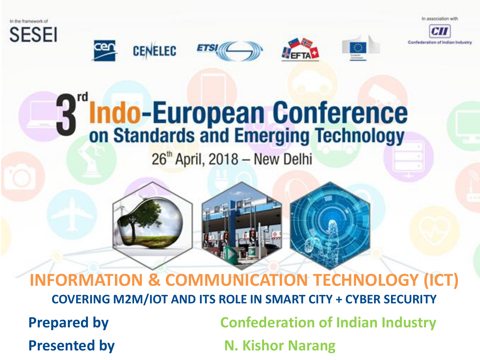



Confederation of Indian Industry

# **Indo-European Conference**<br>on Standards and Emerging Technology

**ETSI** 

**CENELEC** 

 $26<sup>th</sup>$  April, 2018 – New Delhi



**Presented by N. Kishor Narang**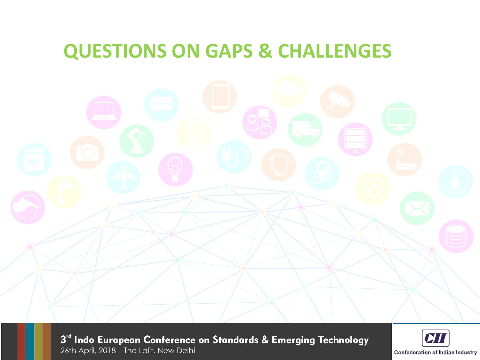#### **QUESTIONS ON GAPS & CHALLENGES**

3<sup>rd</sup> Indo European Conference on Standards & Emerging Technology 26th April, 2018 - The Lalit, New Delhi

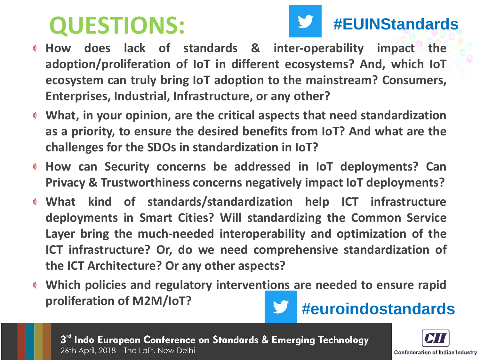# **QUESTIONS:**



#### **#EUINStandards**

- **How does lack of standards & inter-operability impact the adoption/proliferation of IoT in different ecosystems? And, which IoT ecosystem can truly bring IoT adoption to the mainstream? Consumers, Enterprises, Industrial, Infrastructure, or any other?**
- **What, in your opinion, are the critical aspects that need standardization as a priority, to ensure the desired benefits from IoT? And what are the challenges for the SDOs in standardization in IoT?**
- **How can Security concerns be addressed in IoT deployments? Can**  $\mathcal{Y}$ **Privacy & Trustworthiness concerns negatively impact IoT deployments?**
- **What kind of standards/standardization help ICT infrastructure deployments in Smart Cities? Will standardizing the Common Service Layer bring the much-needed interoperability and optimization of the ICT infrastructure? Or, do we need comprehensive standardization of the ICT Architecture? Or any other aspects?**
- **Which policies and regulatory interventions are needed to ensure rapid proliferation of M2M/IoT? #euroindostandards**

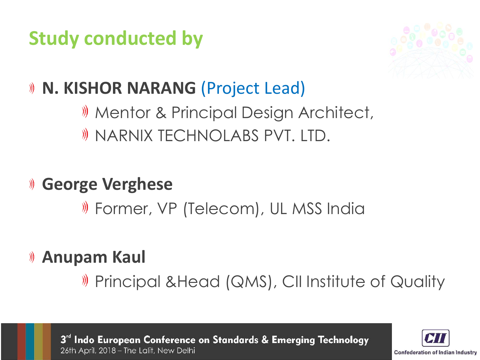### **Study conducted by**



#### **N. KISHOR NARANG** (Project Lead)

## **M** Mentor & Principal Design Architect,

- **W** NARNIX TECHNOLABS PVT. LTD.
- **George Verghese**  $\mathcal{Y}$

Former, VP (Telecom), UL MSS India

#### **Anupam Kaul**  $\mathcal{Y}$

Principal &Head (QMS), CII Institute of Quality

3rd Indo European Conference on Standards & Emerging Technology 26th April, 2018 - The Lalit, New Delhi